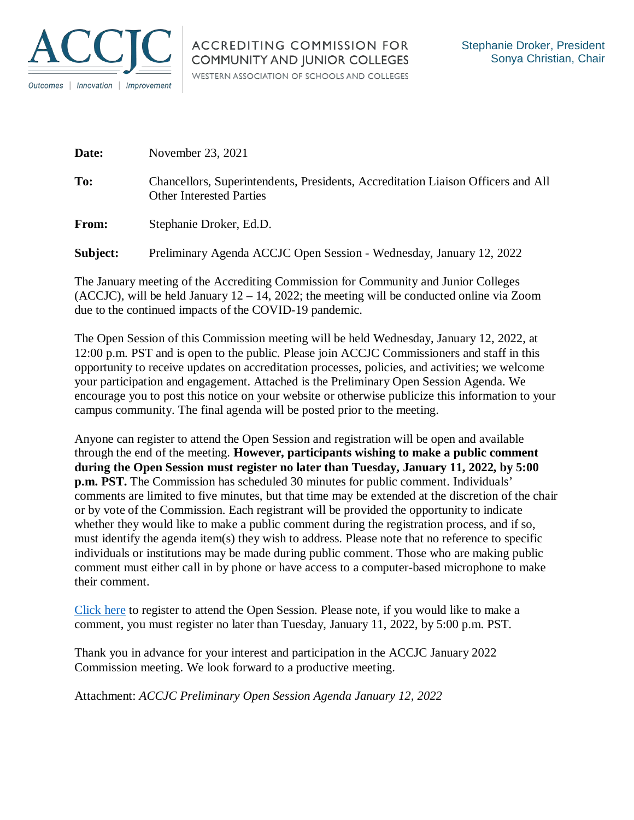

| Date:    | November 23, 2021                                                                                                   |
|----------|---------------------------------------------------------------------------------------------------------------------|
| To:      | Chancellors, Superintendents, Presidents, Accreditation Liaison Officers and All<br><b>Other Interested Parties</b> |
| From:    | Stephanie Droker, Ed.D.                                                                                             |
| Subject: | Preliminary Agenda ACCJC Open Session - Wednesday, January 12, 2022                                                 |

The January meeting of the Accrediting Commission for Community and Junior Colleges (ACCJC), will be held January  $12 - 14$ , 2022; the meeting will be conducted online via Zoom due to the continued impacts of the COVID-19 pandemic.

The Open Session of this Commission meeting will be held Wednesday, January 12, 2022, at 12:00 p.m. PST and is open to the public. Please join ACCJC Commissioners and staff in this opportunity to receive updates on accreditation processes, policies, and activities; we welcome your participation and engagement. Attached is the Preliminary Open Session Agenda. We encourage you to post this notice on your website or otherwise publicize this information to your campus community. The final agenda will be posted prior to the meeting.

Anyone can register to attend the Open Session and registration will be open and available through the end of the meeting. **However, participants wishing to make a public comment during the Open Session must register no later than Tuesday, January 11, 2022, by 5:00 p.m. PST.** The Commission has scheduled 30 minutes for public comment. Individuals' comments are limited to five minutes, but that time may be extended at the discretion of the chair or by vote of the Commission. Each registrant will be provided the opportunity to indicate whether they would like to make a public comment during the registration process, and if so, must identify the agenda item(s) they wish to address. Please note that no reference to specific individuals or institutions may be made during public comment. Those who are making public comment must either call in by phone or have access to a computer-based microphone to make their comment.

[Click here](https://us02web.zoom.us/webinar/register/WN_JHhyLSzzQTmA4Y6Tf4PueA) to register to attend the Open Session. Please note, if you would like to make a comment, you must register no later than Tuesday, January 11, 2022, by 5:00 p.m. PST.

Thank you in advance for your interest and participation in the ACCJC January 2022 Commission meeting. We look forward to a productive meeting.

Attachment: *ACCJC Preliminary Open Session Agenda January 12, 2022*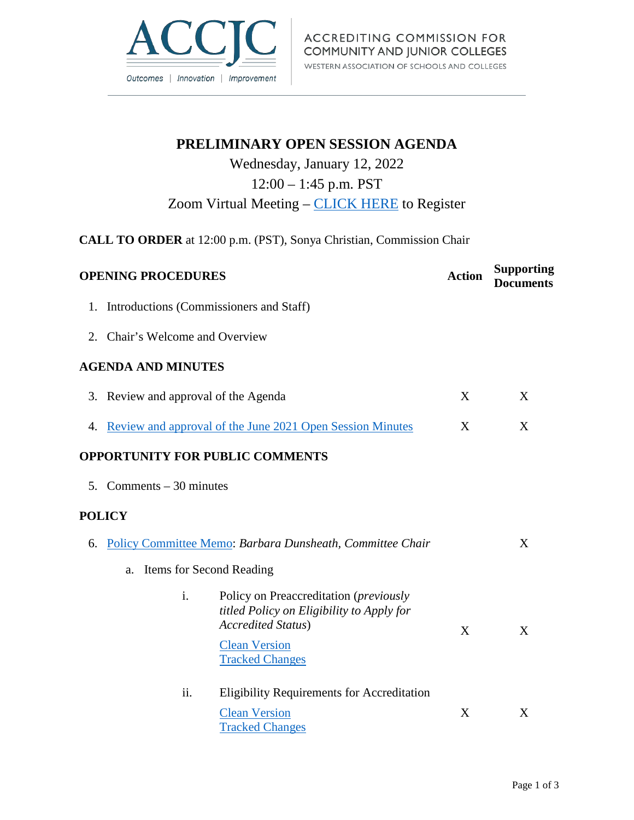

# **PRELIMINARY OPEN SESSION AGENDA**

# Wednesday, January 12, 2022

## 12:00 – 1:45 p.m. PST

## Zoom Virtual Meeting – [CLICK HERE](https://us02web.zoom.us/webinar/register/WN_JHhyLSzzQTmA4Y6Tf4PueA) to Register

**CALL TO ORDER** at 12:00 p.m. (PST), Sonya Christian, Commission Chair

|    | <b>OPENING PROCEDURES</b>                                                                                               | <b>Action</b> | <b>Supporting</b><br><b>Documents</b> |
|----|-------------------------------------------------------------------------------------------------------------------------|---------------|---------------------------------------|
| 1. | Introductions (Commissioners and Staff)                                                                                 |               |                                       |
|    | 2. Chair's Welcome and Overview                                                                                         |               |                                       |
|    | <b>AGENDA AND MINUTES</b>                                                                                               |               |                                       |
|    | 3. Review and approval of the Agenda                                                                                    | X             | X                                     |
|    | 4. Review and approval of the June 2021 Open Session Minutes                                                            | X             | X                                     |
|    | <b>OPPORTUNITY FOR PUBLIC COMMENTS</b>                                                                                  |               |                                       |
|    | 5. Comments $-30$ minutes                                                                                               |               |                                       |
|    | <b>POLICY</b>                                                                                                           |               |                                       |
|    | 6. Policy Committee Memo: Barbara Dunsheath, Committee Chair                                                            |               | X                                     |
|    | Items for Second Reading<br>a.                                                                                          |               |                                       |
|    | i.<br>Policy on Preaccreditation (previously<br>titled Policy on Eligibility to Apply for<br><b>Accredited Status</b> ) | X             | X                                     |
|    | <b>Clean Version</b><br><b>Tracked Changes</b>                                                                          |               |                                       |
|    | ii.<br><b>Eligibility Requirements for Accreditation</b>                                                                |               |                                       |
|    | <b>Clean Version</b><br><b>Tracked Changes</b>                                                                          | X             | X                                     |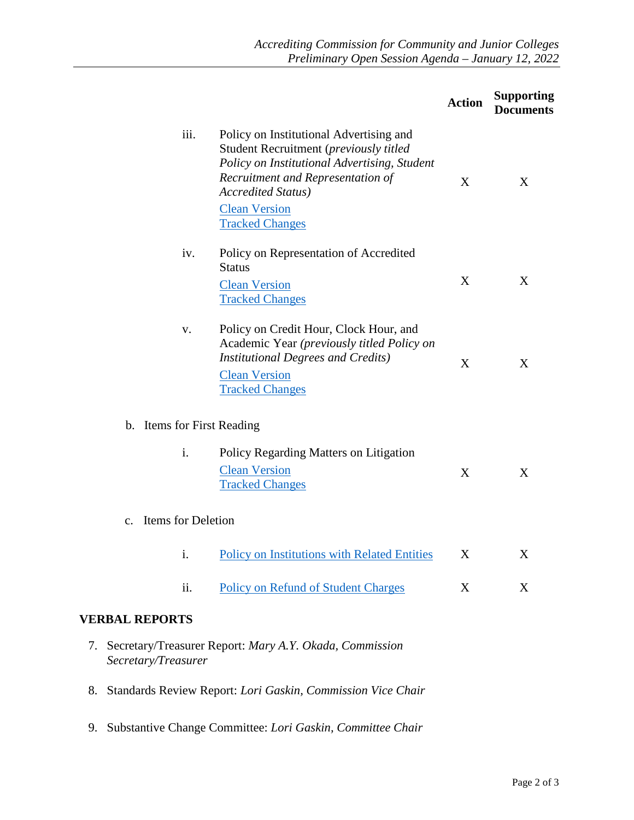|                                                                                                                                                                                                                                                                | <b>Action</b> | <b>Supporting</b><br><b>Documents</b> |
|----------------------------------------------------------------------------------------------------------------------------------------------------------------------------------------------------------------------------------------------------------------|---------------|---------------------------------------|
| iii.<br>Policy on Institutional Advertising and<br>Student Recruitment (previously titled<br>Policy on Institutional Advertising, Student<br>Recruitment and Representation of<br><b>Accredited Status</b> )<br><b>Clean Version</b><br><b>Tracked Changes</b> | X             | X                                     |
| iv.<br>Policy on Representation of Accredited<br><b>Status</b><br><b>Clean Version</b><br><b>Tracked Changes</b>                                                                                                                                               | X             | X                                     |
| Policy on Credit Hour, Clock Hour, and<br>V.<br>Academic Year (previously titled Policy on<br><b>Institutional Degrees and Credits)</b><br><b>Clean Version</b><br><b>Tracked Changes</b>                                                                      | X             | X                                     |
| b. Items for First Reading                                                                                                                                                                                                                                     |               |                                       |
| i.<br>Policy Regarding Matters on Litigation<br><b>Clean Version</b><br><b>Tracked Changes</b>                                                                                                                                                                 | X             | X                                     |
| c. Items for Deletion                                                                                                                                                                                                                                          |               |                                       |
| <b>Policy on Institutions with Related Entities</b><br>1.                                                                                                                                                                                                      | X             | X                                     |
| ii.<br><b>Policy on Refund of Student Charges</b>                                                                                                                                                                                                              | X             | X                                     |
| <b>VERBAL REPORTS</b>                                                                                                                                                                                                                                          |               |                                       |
| 7. Secretary/Treasurer Report: Mary A.Y. Okada, Commission<br>Secretary/Treasurer                                                                                                                                                                              |               |                                       |

- 8. Standards Review Report: *Lori Gaskin, Commission Vice Chair*
- 9. Substantive Change Committee: *Lori Gaskin, Committee Chair*